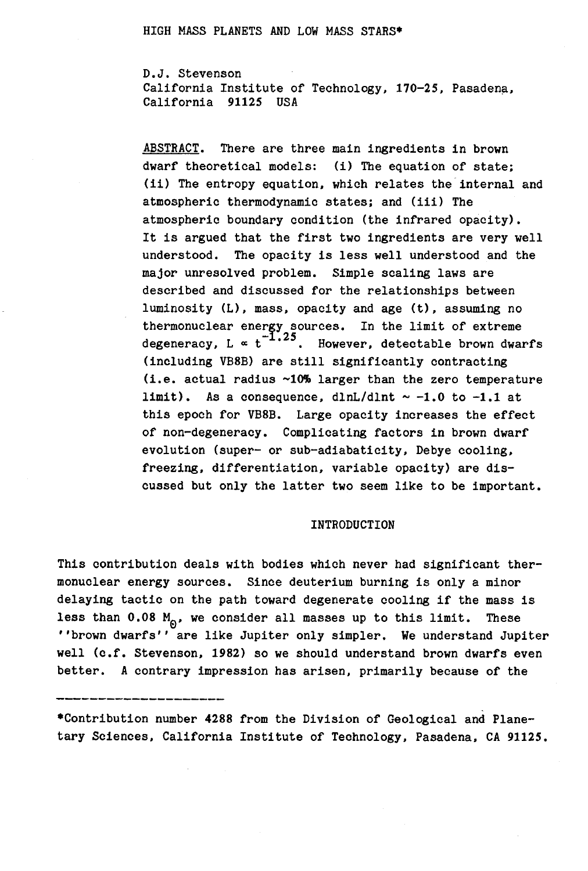D.J. Stevenson California Institute of Technology, 170-25, Pasadena, California 91125 USA

ABSTRACT. There are three main ingredients in brown dwarf theoretical models: (i) The equation of state; *(ii)* The entropy equation, which relates the internal and atmospheric thermodynamic states; and (iii) The atmospheric boundary condition (the infrared opacity). It is argued that the first two ingredients are very well understood. The opacity is less well understood and the major unresolved problem. Simple scaling laws are described and discussed for the relationships between luminosity (L), mass, opacity and age (t), assuming no thermonuclear energy sources. In the limit of extreme degeneracy, L  $\propto t^{-1.25}$ . However, detectable brown dwarfs (including VB8B) are still significantly contracting (i.e. actual radius  $~10\%$  larger than the zero temperature limit). As a consequence, dlnL/dlnt  $\sim$  -1.0 to -1.1 at this epoch for VB8B. Large opacity increases the effect of non-degeneracy. Complicating factors in brown dwarf evolution (super- or sub-adiabaticity, Debye cooling, freezing, differentiation, variable opacity) are discussed but only the latter two seem like to be important.

### INTRODUCTION

This contribution deals with bodies which never had significant thermonuclear energy sources. Since deuterium burning is only a minor delaying tactic on the path toward degenerate cooling if the mass is less than  $0.08$  M<sub>o</sub>, we consider all masses up to this limit. These ''brown dwarfs'' are like Jupiter only simpler. We understand Jupiter well (c.f. Stevenson, 1982) so we should understand brown dwarfs even better. A contrary impression has arisen, primarily because of the

\*Contribution number 4288 from the Division of Geological and Planetary Sciences, California Institute of Technology, Pasadena, CA 91125.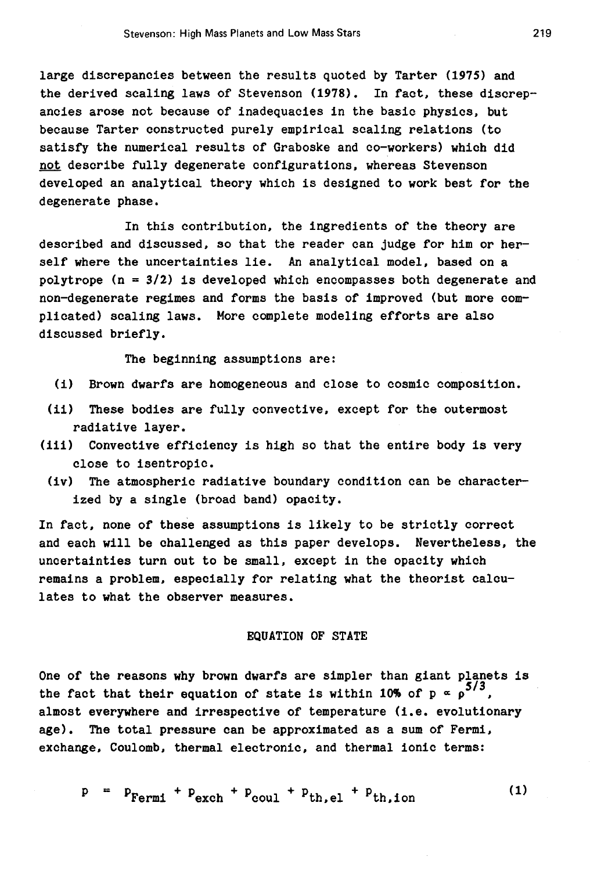large discrepancies between the results quoted by Tarter (1975) and the derived scaling laws of Stevenson (1978). In fact. these discrepancies arose not because of inadequacies in the basic physics, but because Tarter constructed purely empirical scaling relations (to satisfy the numerical results of Graboske and co-workers) which did not describe fully degenerate configurations. whereas Stevenson developed an analytical theory which is designed to work best for the degenerate phase.

In this contribution. the ingredients of the theory are described and discussed, so that the reader can judge for him or herself where the uncertainties lie. An analytical model. based on a polytrope ( $n = 3/2$ ) is developed which encompasses both degenerate and non-degenerate regimes and forms the basis of improved (but more complicated) scaling laws. More complete modeling efforts are also discussed briefly.

The beginning assumptions are:

- (i) Brown dwarfs are homogeneous and close to cosmic composition.
- (ii) These bodies are fully convective. except for the outermost radiative layer.
- (iii) Convective efficiency is high so that the entire body is very close to isentropic.
	- (iv) The atmospheric radiative boundary condition can be characterized by a single (broad band) opacity.

In fact. none of these assumptions is likely to be strictly correct and each will be challenged as this paper develops. Nevertheless, the uncertainties turn out to be small. except in the opacity which remains a problem. especially for relating what the theorist calculates to what the observer measures.

# EQUATION OF STATE

One of the reasons why brown dwarfs are simpler than giant planets is the fact that their equation of state is within 10% of  $p \propto p^{5/3}$ . almost everywhere and irrespective of temperature (i.e. evolutionary age). The total pressure can be approximated as a sum of Fermi, exchange. Coulomb, thermal electronic, and thermal ionic terms:

 $p = p_{\text{fermi}} + p_{\text{exch}} + p_{\text{coul}} + p_{\text{th.el}} + p_{\text{th.ion}}$  (1)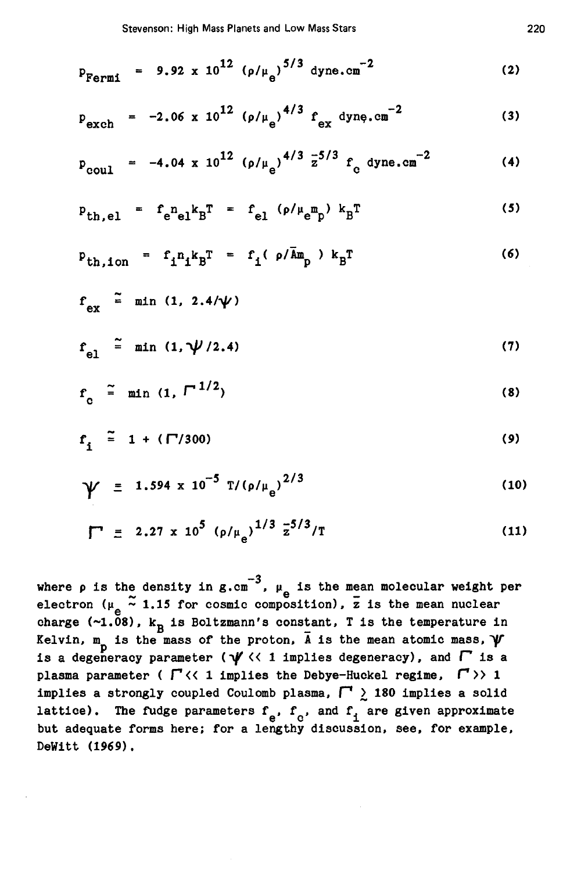$$
P_{\text{Fermi}} = 9.92 \times 10^{12} \left( \rho / \mu_e \right)^{5/3} \text{ dyne.cm}^{-2}
$$
 (2)

$$
P_{\text{exch}} = -2.06 \times 10^{12} \left( \rho / \mu_{\text{e}} \right)^{4/3} f_{\text{ex}} \text{dyn} \cdot \text{cm}^{-2}
$$
 (3)

$$
p_{\text{coul}} = -4.04 \times 10^{12} \left( \frac{\rho}{\mu_{\text{e}}} \right)^{4/3} \frac{1}{2}^{5/3} f_{\text{c} \text{dyne.cm}}^{-2}
$$
 (4)

$$
p_{th,el} = f_{e}n_{el}k_{B}T = f_{el} (\rho/\mu_{e}m_{p}) k_{B}T
$$
 (5)

$$
P_{th,ion} = f_1 n_1 k_B T = f_1 (\rho/\bar{A}m_p) k_B T
$$
 (6)

$$
f_{ex} \stackrel{\sim}{=} \min (1, 2.4/\gamma)
$$
  

$$
f_{el} \stackrel{\sim}{=} \min (1, \gamma/2.4)
$$
 (7)

$$
f_{c} \quad \tilde{=} \quad \min \quad (1, \; \Gamma^{-1/2}) \tag{8}
$$

$$
f_{i} \stackrel{\sim}{=} 1 + (\Gamma/300) \tag{9}
$$

$$
\gamma = 1.594 \times 10^{-5} \text{ T}/(\rho/\mu_{\text{e}})^{2/3}
$$
 (10)

$$
\Gamma \equiv 2.27 \times 10^5 \left( \rho / \mu_e \right)^{1/3} \frac{1}{2}^{5/3} / T \tag{11}
$$

where  $\rho$  is the density in g.cm<sup>-3</sup>,  $\mu_e$  is the mean molecular weight per electron ( $\mu_e \approx 1.15$  for cosmic composition),  $\bar{z}$  is the mean nuclear charge (~1.08),  $k_B$  is Boltzmann's constant, T is the temperature Kelvin,  $m_p$  is the mass of the proton,  $\bar{A}$  is the mean atomic mass,  $\gamma$ is a degeneracy parameter ( $\psi$  << 1 implies degeneracy), and  $\Gamma$  is a plasma parameter (  $\Gamma$  << 1 implies the Debye-Huckel regime,  $\Gamma$  >> 1 implies a strongly coupled Coulomb plasma,  $\Box$  180 implies a solid lattice). The fudge parameters  $f_e$ ,  $f_c$ , and  $f_i$  are given approximate but adequate forms here; for a lengthy discussion, see, for example, DeWitt (1969).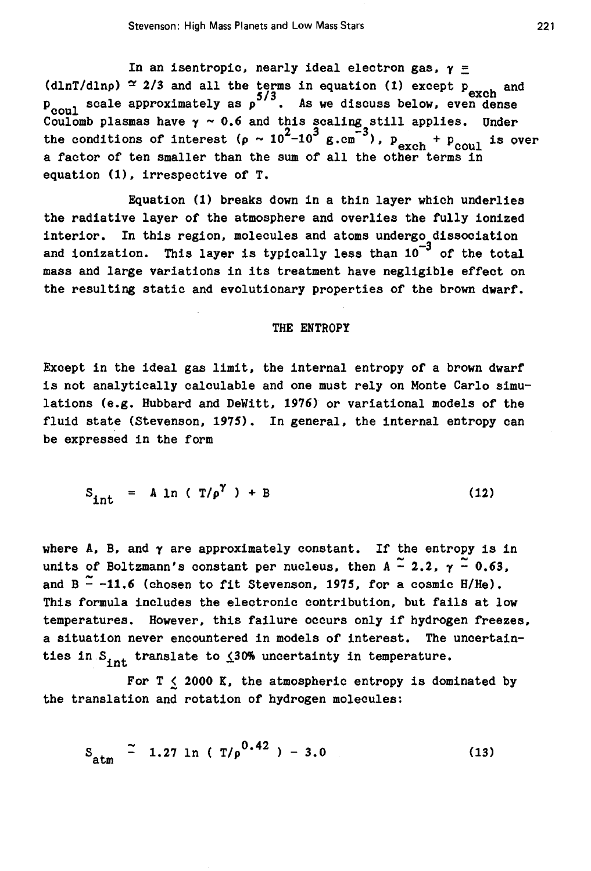In an isentropic, nearly ideal electron gas,  $\gamma$  = (dlnT/dlnp)  $\simeq$  2/3 and all the terms in equation (1) except p  $\frac{1}{\text{exch}}$  and  $\frac{5}{3}$ . As we discuss below, even dense  $\frac{1}{2}$  Coulomb plasmas have  $\gamma \sim 0.6$  and this scaling still applies. Under the conditions of interest  $(\rho \sim 10^2 - 10^3 \text{ g.cm}^{-3})$ ,  $p_{\text{exch}} + p_{\text{coul}}$  is over a factor of ten smaller than the sum of all the other terms in equation  $(1)$ , irrespective of T.

Equation (1) breaks down in a thin layer which underlies the radiative layer of the atmosphere and overlies the fully ionized interior. In this region, molecules and atoms undergo dissociation and ionization. This layer is typically less than  $10^{-3}$  of the total mass and large variations in its treatment have negligible effect on the resulting static and evolutionary properties of the brown dwarf.

#### THE ENTROPY

Except in the ideal gas limit, the internal entropy of a brown dwarf is not analytically calculable and one must rely on Monte Carlo simulations (e.g. Hubbard and DeWitt. 1976) or variational models of the fluid state (Stevenson, 1975). In general, the internal entropy can be expressed in the form

$$
S_{int} = A ln (T/\rho^{\gamma}) + B
$$
 (12)

where  $A$ ,  $B$ , and  $\gamma$  are approximately constant. If the entropy is in units of Boltzmann's constant per nucleus, then  $A \stackrel{\sim}{\sim} 2.2$ ,  $\gamma \stackrel{\sim}{\sim} 0.63$ , and B<sup> $-$ </sup>-11.6 (chosen to fit Stevenson, 1975, for a cosmic H/He). This formula includes the electronic contribution, but fails at low temperatures. However, this failure occurs only if hydrogen freezes, a situation never encountered in models of interest. The uncertainties in  $S_{int}$  translate to  $\leq 30\%$  uncertainty in temperature.

For  $T < 2000$  K, the atmospheric entropy is dominated by the translation and rotation of hydrogen molecules:

$$
S_{\text{atm}} \stackrel{\sim}{=} 1.27 \text{ ln} (T/\rho^{0.42}) - 3.0 \qquad (13)
$$

221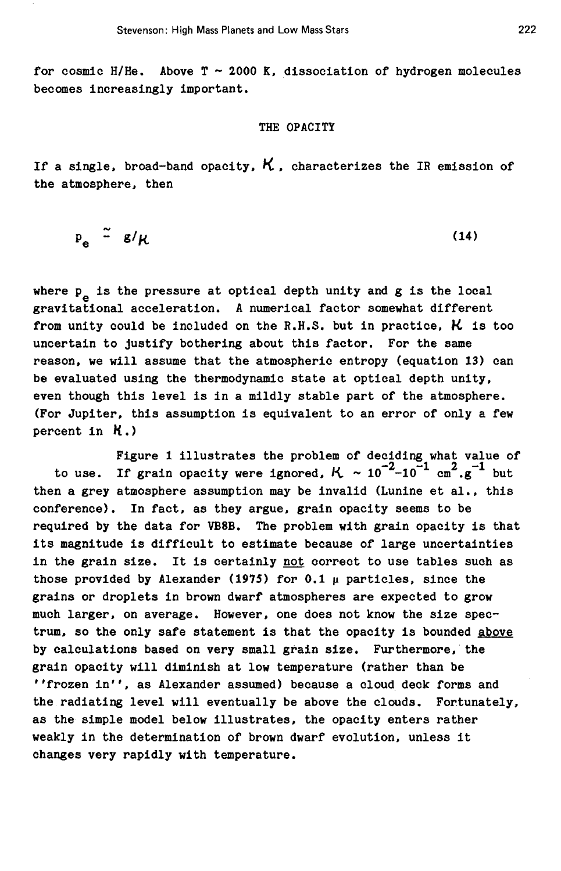for cosmic H/He. Above  $T \sim 2000$  K, dissociation of hydrogen molecules becomes increasingly important.

# THE OPACITY

If a single, broad-band opacity,  $K$ , characterizes the IR emission of the atmosphere, then

$$
P_e \stackrel{\sim}{=} g/\mu \tag{14}
$$

where  $p_e$  is the pressure at optical depth unity and g is the local  $p_e$ . gravitational acceleration. A numerical factor somewhat different from unity could be included on the R.H.S. but in practice.  $\boldsymbol{\mathcal{K}}$  is too uncertain to justify bothering about this factor. For the same reason, we will assume that the atmospheric entropy (equation 13) can be evaluated using the thermodynamic state at optical depth unity, even though this level is in a mildly stable part of the atmosphere. (For Jupiter, this assumption is equivalent to an error of only a few percent in  $K.$ )

Figure 1 illustrates the problem of deciding what value of to use. If grain opacity were ignored,  $K \sim 10^{-2} - 10^{-1}$  cm<sup>2</sup>.g<sup>-1</sup> but then a grey atmosphere assumption may be invalid (Lunine et al., this conference). In fact, as they argue, grain opacity seems to be required by the data for VBSB. The problem with grain opacity is that its magnitude is difficult to estimate because of large uncertainties in the grain size. It is certainly not correct to use tables such as those provided by Alexander (1975) for  $0.1 \mu$  particles, since the grains or droplets in brown dwarf atmospheres are expected to grow much larger, on average. However, one does not know the size spectrum, so the only safe statement is that the opacity is bounded above by calculations based on very small grain size. Furthermore, the grain opacity will diminish at low temperature (rather than be ''frozen in'', as Alexander assumed) because a cloud. deck forms and the radiating level will eventually be above the clouds. Fortunately, as the simple model below illustrates, the opacity enters rather weakly in the determination of brown dwarf evolution, unless it changes very rapidly with temperature.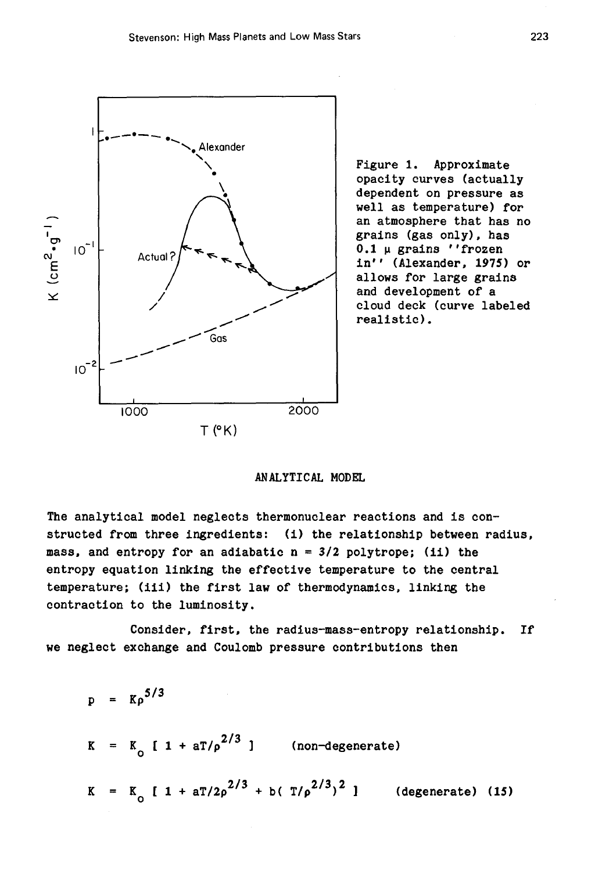

Figure 1. Approximate opacity curves (actually dependent on pressure as well as temperature) for an atmosphere that has no grains (gas only). has  $0.1 ~\mu$  grains ''frozen in'' (Alexander, 1975) or allows for large grains and development of a cloud deck (curve labeled realistic).

ANALYTICAL MODEL

The analytical model neglects thermonuclear reactions and is constructed from three ingredients: (i) the relationship between radius, mass, and entropy for an adiabatic  $n = 3/2$  polytrope; (ii) the entropy equation linking the effective temperature to the central temperature; (iii) the first law of thermodynamics. linking the contraction to the luminosity.

Consider, first, the radius-mass-entropy relationship. If we neglect exchange and Coulomb pressure contributions then

=  $K \rho^{5/3}$ p  $K = K_0$  [ 1 +  $aT/\rho^{2/3}$  ] (non-degenerate) K =  $K_0$  [ 1 + aT/2 $\rho^{2/3}$  + b( T/ $\rho^{2/3}$ )<sup>2</sup>] (degenerate) (15)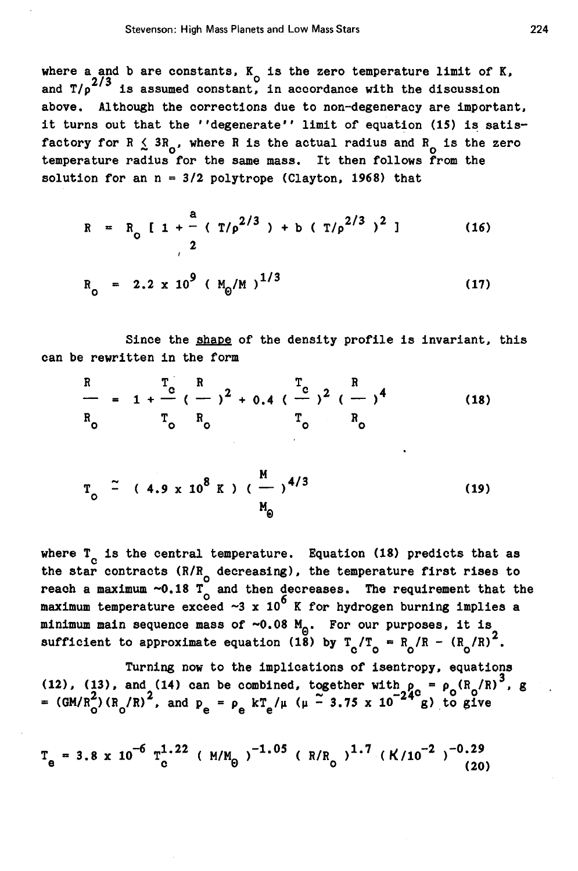where a and b are constants, K<sub>o</sub> is the zero temperature limit of K, and T/p<sup>2/3</sup> is assumed constant, in accordance with the discussion above. Although the corrections due to non-degeneracy are important, it turns out that the ''degenerate'' limit of equation  $(15)$  is satisfactory for R  $\leq$  3R<sub>0</sub>, where R is the actual radius and R<sub>0</sub> is the zero temperature radius for the same mass. It then follows from the solution for an  $n = 3/2$  polytrope (Clayton, 1968) that

$$
R = R_0 [1 + \frac{a}{2} (T/\rho^{2/3}) + b (T/\rho^{2/3})^2 ]
$$
 (16)  
\n
$$
R_0 = 2.2 \times 10^9 (M_0/M)^{1/3}
$$
 (17)

Since the shape of the density profile is invariant, this can be rewritten in the form

$$
\frac{R}{R_o} = 1 + \frac{T_c}{C} (\frac{R}{C_o})^2 + 0.4 (\frac{T_c}{C_o})^2 (\frac{R}{C_o})^4
$$
 (18)

$$
T_0 \stackrel{\sim}{=} (4.9 \times 10^8 \text{ K}) (\frac{\text{M}}{\text{m}})^{4/3}
$$
 (19)

where  $T_c$  is the central temperature. Equation (18) predicts that as the star contracts (R/R<sub>O</sub> decreasing), the temperature first rises to reach a maximum  $\sim$ 0.18 T<sub>o</sub> and then decreases. The requirement that the maximum temperature exceed  $\sim 3 \times 10^6$  K for hydrogen burning implies a minimum main sequence mass of  $\sim 0.08$  M<sub>o</sub>. For our purposes, it is sufficient to approximate equation (18) by  $T_c/T_o = R_o/R - (R_o/R)^2$ .

Turning now to the implications of isentropy, equations (12), (13), and (14) can be combined, together with  $\rho_c = \rho_c (R_c/R)^3$ . (12), (13), and (14) can be combined, together with  $p_c = p_c$  ( $R_o/R$ )<br>= (GM/ $R_o^2$ )( $R_o/R$ )<sup>2</sup>, and  $p_e = p_e$  kT<sub>e</sub>/ $\mu$  ( $\mu - 3.75$  x 10<sup>-24</sup> g) to give g

$$
T_{e} = 3.8 \times 10^{-6} T_{c}^{1.22} (M/M_{\odot})^{-1.05} (R/R_{c})^{1.7} (K/10^{-2})^{-0.29}
$$
 (20)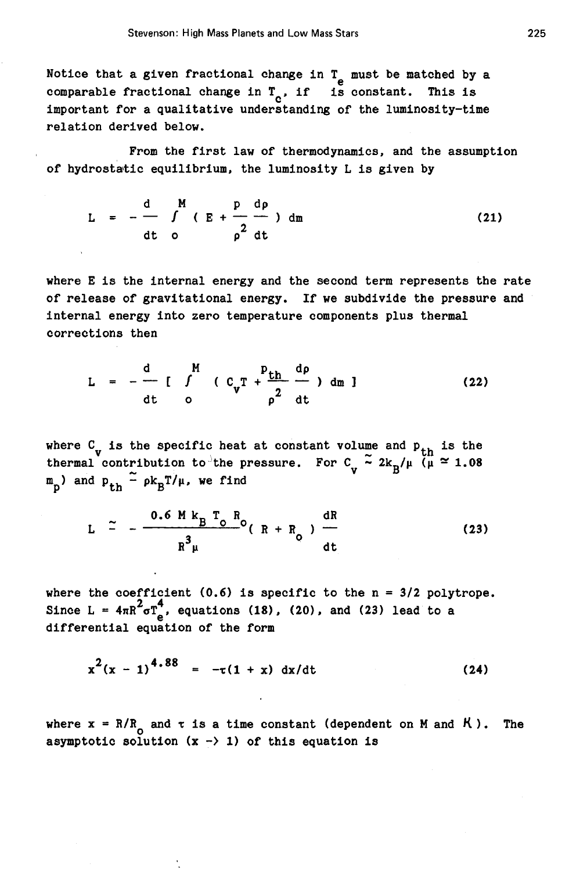Notice that a given fractional change in  $T_e$  must be matched by a comparable fractional change in  $T_c$ , if is constant. This is important for a qualitative understanding of the luminosity-time relation derived below.

From the first law of thermodynamics. and the assumption of hydrostatic equilibrium. the luminosity L is given by

$$
L = -\frac{d}{dt} \int_{\text{dt}}^{M} (E + \frac{p}{\rho^2} \frac{dp}{dt}) dm
$$
 (21)

where E is the internal energy and the second term represents the rate of release of gravitational energy. If we subdivide the pressure and internal energy into zero temperature components plus thermal corrections then

$$
L = -\frac{d}{dt} \int_{0}^{M} (C_{v}T + \frac{p_{th}}{\rho^{2}} \frac{dp}{dt}) dm
$$
 (22)

where  $C_{\mathbf{v}}$  is the specific heat at constant volume and  $p_{th}$  is the thermal contribution to the pressure. For  $C_{\mu} \stackrel{\sim}{\sim} 2k_B/\mu$  ( $\mu \stackrel{\sim}{\sim} 1.08$ )  $m_{\overline{n}}$ ) and  $p_{+h} - \rho k_{\overline{B}}T/\mu$ , we find

$$
L \quad \simeq \quad - \frac{0.6 \, M \, k_B \, T_o \, R_o}{R^3 \mu} (R + R_o) \, \frac{dR}{dt} \tag{23}
$$

where the coefficient (0.6) is specific to the n = 3/2 polytrope.<br>Since L =  $4\pi R^2 \sigma T_c^4$ , equations (18), (20), and (23) lead to a differential equation of the form

$$
x^{2}(x-1)^{4.88} = -\tau(1+x) dx/dt
$$
 (24)

where  $x = R/R_0$  and  $\tau$  is a time constant (dependent on M and  $R$ ). The asymptotic solution  $(x -\rangle 1)$  of this equation is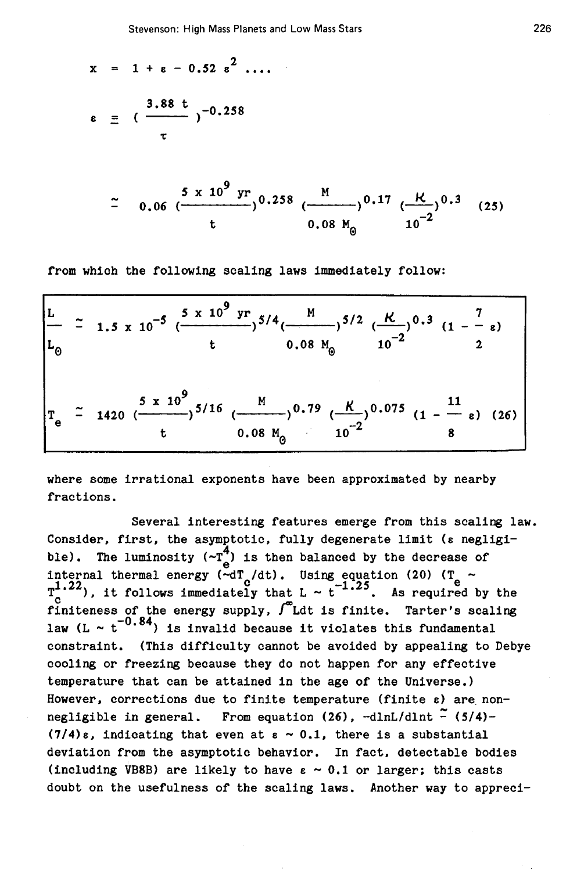$$
x = 1 + \varepsilon - 0.52 \varepsilon^{2} \dots
$$
  
\n
$$
\varepsilon = \frac{3.88 \varepsilon}{\tau} -0.258
$$
  
\n
$$
\frac{5 \times 10^{9} \text{ yr}}{\tau} = 0.06 \left( \frac{5 \times 10^{9} \text{ yr}}{\tau} \right) 0.258 \left( \frac{M}{\tau} \right) 0.17 \left( \frac{K}{\tau} \right) 0.3 (25)
$$
  
\n
$$
0.08 M_{\odot}
$$

from which the following scaling laws immediately follow:

|  | $\left \frac{L}{L_{\odot}}$ = 1.5 x 10 <sup>-5</sup> ( $\frac{5 \times 10^{9} \text{ yr}}{t}$ ) <sup>5/4</sup> ( $\frac{M}{0.08 M_{\odot}}$ ) <sup>5/2</sup> ( $\frac{R}{10^{-2}}$ ) <sup>0.3</sup> (1 - $\frac{7}{2}$ ) |
|--|--------------------------------------------------------------------------------------------------------------------------------------------------------------------------------------------------------------------------|
|  | $\left  T_e \stackrel{>}{=} 1420 \frac{5 \times 10^9}{t} 5/16 \frac{M}{(0.08 M_\odot)} 0.79 \frac{K}{10^{-2}} 0.075 \frac{11}{(1 - \frac{11}{8})} 0.26) \right $                                                         |

where some irrational exponents have been approximated by nearby fractions.

Several interesting features emerge from this scaling law. Consider, first, the asymptotic, fully degenerate limit (s negligible). The luminosity  $(-T_e^4)$  is then balanced by the decrease of<br>internal thermal energy  $(-dT_c/dt)$ . Using equation (20) ( $T_e \sim T_c^{1.22}$ ), it follows immediately that L  $\sim t^{-1.25}$ . As required by the finiteness of the energy supply,  $\int_{0}^{\infty}$ Ldt is finite. Tarter's scaling law (L  $\sim$   $t^{-0.84}$ ) is invalid because it violates this fundamental constraint. (This difficulty cannot be avoided by appealing to Debye cooling or freezing because they do not happen for any effective temperature that can be attained in the age of the Universe.) However, corrections due to finite temperature (finite  $\varepsilon$ ) are nonnegligible in general. From equation (26), -dlnL/dlnt  $\tilde{-(5/4)}$ - $(7/4)\epsilon$ , indicating that even at  $\epsilon \sim 0.1$ , there is a substantial deviation from the asymptotic behavior. In fact. detectable bodies (including VB8B) are likely to have  $\varepsilon \sim 0.1$  or larger; this casts doubt on the usefulness of the scaling laws. Another way to appreci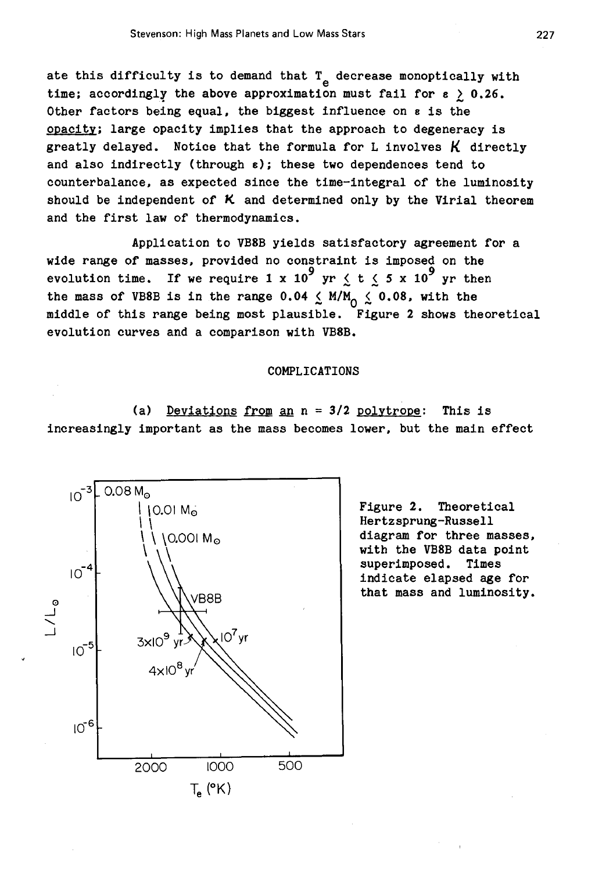ate this difficulty is to demand that  $T_{e}$  decrease monoptically with time; accordingly the above approximation must fail for  $\varepsilon \geq 0.26$ . Other factors being equal, the biggest influence on s is the opacity; large opacity implies that the approach to degeneracy is greatly delayed. Notice that the formula for L involves  $K$  directly and also indirectly (through  $\varepsilon$ ); these two dependences tend to counterbalance, as expected since the time-integral of the luminosity should be independent of *K* and determined only by the Virial theorem and the first law of thermodynamics.

Application to VB8B yields satisfactory agreement for a wide range of masses, provided no constraint is imposed on the evolution time. If we require 1 x 10<sup>9</sup> yr  $\leq$  t  $\leq$  5 x 10<sup>9</sup> yr then the mass of VB8B is in the range 0.04  $\leq$  M/M<sub>0</sub>  $\leq$  0.08, with the middle of this range being most plausible. Figure 2 shows theoretical evolution curves and a comparison with VB8B.

### COMPLICATIONS

(a) Deviations from an  $n = 3/2$  polytrope: This is increasingly important as the mass becomes lower, but the main effect



Figure 2. Theoretical Hertz sprung-Russell diagram for three masses, with the VB8B data point superimposed. Times indicate elapsed age for that mass and luminosity.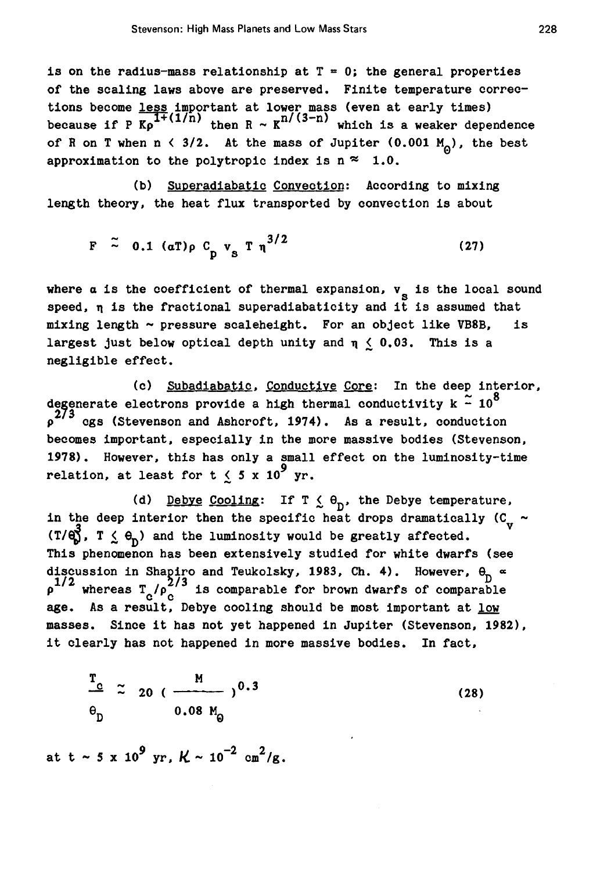is on the radius-mass relationship at  $T = 0$ ; the general properties of the scaling laws above are preserved. Finite temperature corrections become <u>less</u> important at lower mass (even at early times)<br>because if P K<sub>p</sub><sup>1+(1/n)</sup> then R ~ K<sup>n/(3-n)</sup> which is a weaker dependence of R on T when n < 3/2. At the mass of Jupiter (0.001  $M_0$ ), the best approximation to the polytropic index is  $n \approx 1.0$ .

(b) Superadiabatic Convection: According to mixing length theory, the heat flux transported by convection is about

$$
F \stackrel{\sim}{\sim} 0.1 \text{ (aT)} \rho C_p v_s T \eta^{3/2} \tag{27}
$$

where  $\alpha$  is the coefficient of thermal expansion,  $v_{\rm s}$  is the local sound speed,  $\eta$  is the fractional superadiabaticity and it is assumed that mixing length  $\sim$  pressure scaleheight. For an object like VB8B, is largest just below optical depth unity and  $\eta \leq 0.03$ . This is a negligible effect.

(c) Subadiabatic, Conductive Core: In the deep interior, degenerate electrons provide a high thermal conductivity k  $\approx 10^8$  $\frac{273}{9}$  egs (Stevenson and Ashcroft, 1974). As a result, conduction becomes important, especially in the more massive bodies (Stevenson, 1978). However, this has only a small effect on the luminosity-time relation, at least for t  $\leq 5 \times 10^9$  yr.

(d) <u>Debye Cooling</u>: If  $T \nleq \theta_D$ , the Debye temperature, in the deep interior then the specific heat drops dramatically ( $C_{\rm tr}$  -(T/ $\mathbf{e}_0^3$ , T  $\leq \mathbf{e}_0$ ) and the luminosity would be greatly affected. This phenomenon has been extensively studied for white dwarfs (see discussion in Shapiro and Teukolsky, 1983, Ch. 4). However,  $\theta_{D} \propto \rho^{1/2}$  whereas  $T_{C}/\rho_{C}^{2/3}$  is comparable for brown dwarfs of comparable age. As a result, Debye cooling should be most important at low masses. Since it has not yet happened in Jupiter (Stevenson, 1982), it clearly has not happened in more massive bodies. In fact,

$$
\frac{T_c}{\theta_D} \approx 20 \left( \frac{M}{0.08 M_0} \right)^{0.3}
$$
 (28)

at t ~ 5 x  $10^9$  yr,  $K \sim 10^{-2}$  cm<sup>2</sup>/g.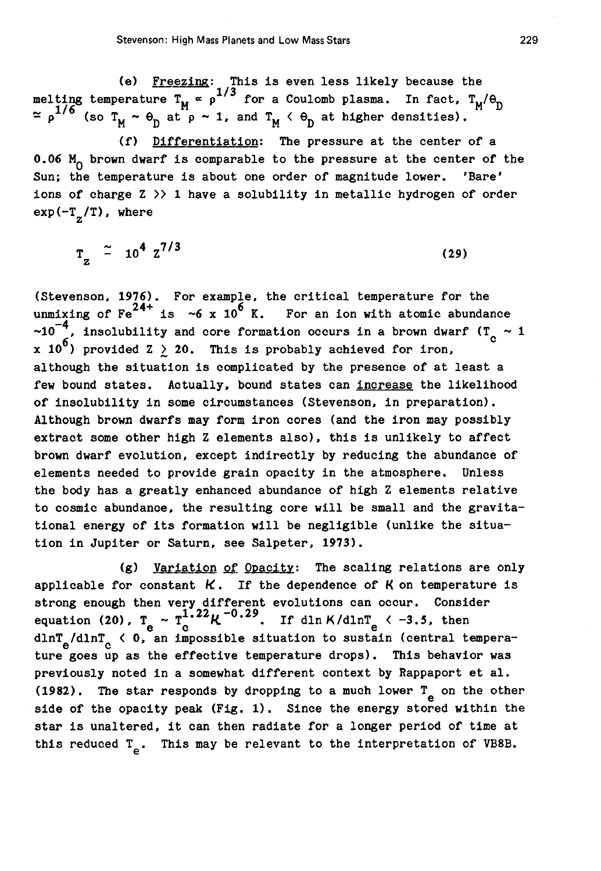(e) Freezing: This is even less likely because the melting temperature  $T_M \propto \rho^{1/3}$  for a Coulomb plasma. In fact,  $T_M/\theta_D$  $\approx$   $p^{1/6}$  (so  $T_M \sim \theta_D$  at  $p \sim 1$ , and  $T_M \langle \theta_D$  at higher densities).

(f) Differentiation: The pressure at the center of a 0.06  $M_0$  brown dwarf is comparable to the pressure at the center of the Sun; the temperature is about one order of magnitude lower. 'Bare' ions of charge  $Z \gg 1$  have a solubility in metallic hydrogen of order  $\exp(-\mathbf{T_z}/\mathbf{T})$ , where

 $T_{Z}$  = 10<sup>4</sup>  $Z^{1/3}$  (29)

(Stevenson, 1976). For example, the critical temperature for the unmixing of Fe<sup>24+</sup> is ~6 x 10<sup>6</sup> K. For an ion with atomic abundance (Stevenson,  $1976$ ). For example, the critical temperature for the  $\sim 10^{-4}$ , insolubility and core formation occurs in a brown dwarf (T<sub>C</sub>  $\sim 1$ ) x 10<sup>6</sup>) provided Z  $\ge$  20. This is probably achieved for iron. although the situation is complicated by the presence of at least a few bound states. Actually. bound states can increase the likelihood of insolubility in some circumstances (Stevenson, in preparation). Although brown dwarfs may form iron cores (and the iron may possibly extract some other high Z elements also), this is unlikely to affect brown dwarf evolution. except indirectly by reducing the abundance of elements needed to provide grain opacity in the atmosphere. Unless the body has a greatly enhanced abundance of high Z elements relative to cosmic abundance. the resulting core will be small and the gravitational energy of its formation will be negligible (unlike the situation in Jupiter or Saturn. see Salpeter. 1973).

(g) Variation of Opacitv: The scaling relations are only applicable for constant  $K$ . If the dependence of  $K$  on temperature is strong enough then very different evolutions can occur. Consider equation (20).  $T_e \sim T_c^{1.22} K^{-0.29}$ . If dln K/dlnT<sub>e</sub> < -3.5, then dlnT<sub>e</sub>/dlnT<sub>c</sub> < 0, an impossible situation to sustain (central temperature goes up as the effective temperature drops). This behavior was previously noted in a somewhat different context by Rappaport et al. (1982). The star responds by dropping to a much lower  $T_e$  on the other side of the opacity peak (Fig. 1). Since the energy stored within the star is unaltered. it can then radiate for a longer period of time at this reduced  $T_e$ . This may be relevant to the interpretation of VB8B.

229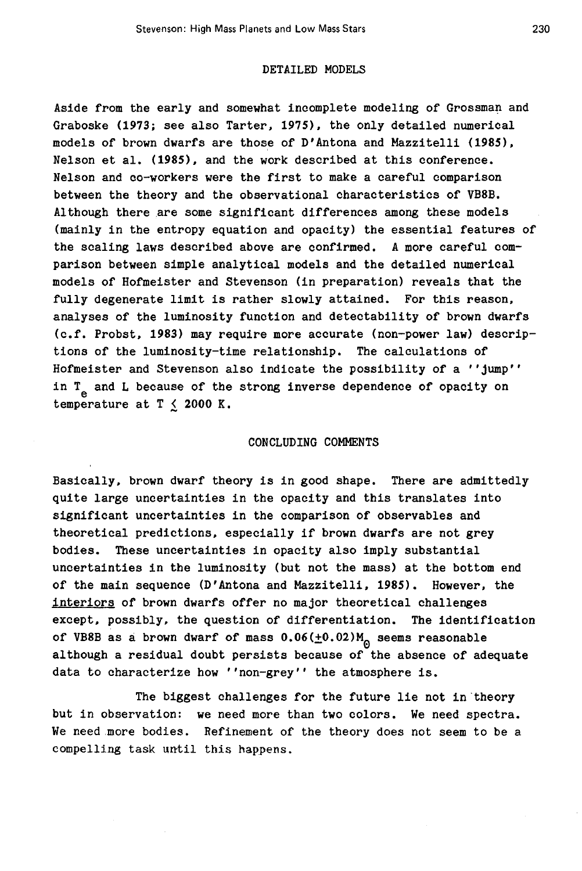# DETAILED MODELS

Aside from the early and somewhat incomplete modeling of Grossman and Graboske (1973; see also Tarter, 1975), the only detailed numerical models of brown dwarfs are those of D'Antona and Mazzitelli (1985), Nelson et al. (1985), and the work described at this conference. Nelson and co-workers were the first to make a careful comparison between the theory and the observational characteristics of VB8B. Although there are some significant differences among these models (mainly in the entropy equation and opacity) the essential features of the scaling laws described above are confirmed. A more careful comparison between simple analytical models and the detailed numerical models of Hofmeister and Stevenson (in preparation) reveals that the fully degenerate limit is rather slowly attained. For this reason, analyses of the luminosity function and detectability of brown dwarfs (c.f. Probst, 1983) may require more accurate (non-power law) descriptions of the luminosity-time relationship. The calculations of Hofmeister and Stevenson also indicate the possibility of a ''jump'' in  $T_e$  and L because of the strong inverse dependence of opacity on temperature at  $T \le 2000 K$ .

# CONCLUDING COMMENTS

Basically, brown dwarf theory is in good shape. There are admittedly quite large uncertainties in the opacity and this translates into significant uncertainties in the comparison of observables and theoretical predictions, especially if brown dwarfs are not grey bodies. These uncertainties in opacity also imply substantial uncertainties in the luminosity (but not the mass) at the bottom end of the main sequence (D'Antona and Mazzite1li, 1985). However, the interiors of brown dwarfs offer no major theoretical challenges except, possibly, the question of differentiation. The identification of VB8B as a brown dwarf of mass  $0.06(\pm0.02)M_{\odot}$  seems reasonable although a residual doubt persists because of the absence of adequate data to characterize how ''non-grey'' the atmosphere is.

The biggest challenges for the future lie not in theory but in observation: we need more than two colors. We need spectra. We need more bodies. Refinement of the theory does not seem to be a compelling task until this happens.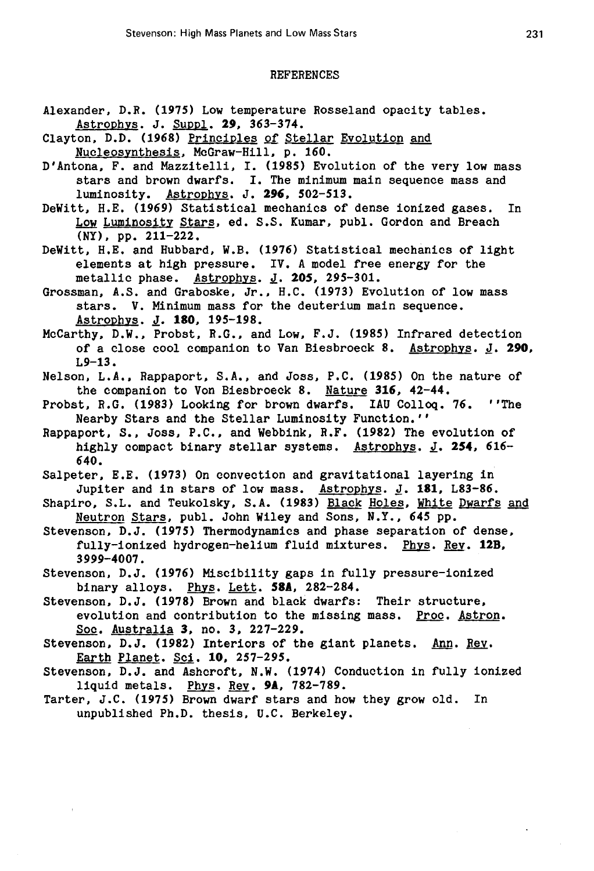### REFERENCES

- Alexander, D.R. (1975) Low temperature Rosseland opacity tables. Astrophys. J. Suppl. **29,** 363-374.
- Clayton, D.D. (1968) Principles of Stellar Evolution and Nucleosynthesis, McGraw-Hill, p. 160.
- D'Antona, F. and Mazzitelli, I. (1985) Evolution of the very low mass stars and brown dwarfs. I. The minimum main sequence mass and luminosity. Astrophys. J. **296,** 502-513.
- DeWitt, H.E. (1969) Statistical mechanics of dense ionized gases. In Low Luminosity Stars, ed. S.S. Kumar, publ. Gordon and Breach (NY), pp. 211-222.
- DeWitt, H.E. and Hubbard, W.B. (1976) Statistical mechanics of light elements at high pressure. IV. A model free energy for the metallic phase. Astrophys. *l·* **205,** 295-301.
- Grossman, A.S. and Graboske, Jr., B.C. (1973) Evolution of low mass stars. V. Minimum mass for the deuterium main sequence. Astrophys. *l·* **180,** 195-198.
- McCarthy, D.W., Probst, R.G., and Low, F.J. (1985) Infrared detection of a close cool companion to Van Biesbroeck 8. Astrophys. *l·* **290,**  L9-13.
- Nelson, L.A., Rappaport, S.A., and Joss, P.C. (1985) On the nature of the companion to Von Biesbroeck 8. Nature **316,** 42-44.
- Probst, R.G. (1983) Looking for brown dwarfs. !AU Colloq. 76. ''The Nearby Stars and the Stellar Luminosity Function.''
- Rappaport, s., Joss, P.C., and Webbink, R.F. (1982) The evolution of highly compact binary stellar systems. Astrophys. *l.* **254,** 616- 640.
- Salpeter, E.E. (1973) On convection and gravitational layering in Jupiter and in stars of low mass. Astrophys. *l·* **181,** L83-86.
- Shapiro, S.L. and Teukolsky, S.A. (1983) Black Holes, White Dwarfs and Neutron Stars, pub!. John Wiley and Sons, N.Y., 645 pp,
- Stevenson, D.J. (1975) Thermodynamics and phase separation of dense, fully-ionized hydrogen-helium fluid mixtures. Phys. Rev. **12B,**  3999-4007.
- Stevenson, D.J. (1976) Miscibility gaps in fully pressure-ionized binary alloys. Phys. Lett. **58A,** 282-284.
- Stevenson, D.J. (1978) Brown and black dwarfs: Their structure, evolution and contribution to the missing mass. Proc. Astron. Soc. Australia **3,** no. 3, 227-229.
- Stevenson, D.J. (1982) Interiors of the giant planets. Ann. Rey, Earth Planet. Sci. **10,** 257-295.
- Stevenson, D.J. and Ashcroft, N.W. (1974) Conduction in fully ionized liquid metals. Phys. Rev. **9A,** 782-789.
- Tarter, J.C. (1975) Brown dwarf stars and how they grow old. In unpublished Ph.D. thesis, U.C. Berkeley.